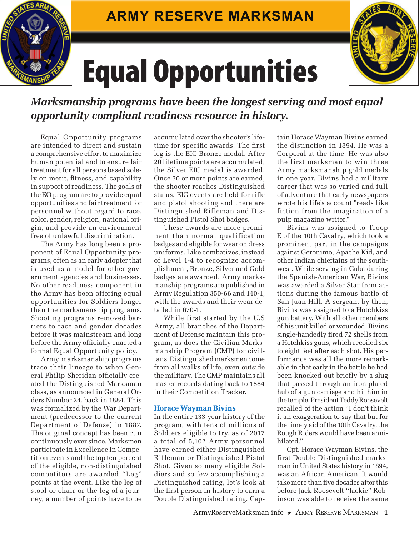

## Equal Opportunities



*Marksmanship programs have been the longest serving and most equal opportunity compliant readiness resource in history.*

Equal Opportunity programs are intended to direct and sustain a comprehensive effort to maximize human potential and to ensure fair treatment for all persons based solely on merit, fitness, and capability in support of readiness. The goals of the EO program are to provide equal opportunities and fair treatment for personnel without regard to race, color, gender, religion, national origin, and provide an environment free of unlawful discrimination.

The Army has long been a proponent of Equal Opportunity programs, often as an early adopter that is used as a model for other government agencies and businesses. No other readiness component in the Army has been offering equal opportunities for Soldiers longer than the marksmanship programs. Shooting programs removed barriers to race and gender decades before it was mainstream and long before the Army officially enacted a formal Equal Opportunity policy.

Army marksmanship programs trace their lineage to when General Philip Sheridan officially created the Distinguished Marksman class, as announced in General Orders Number 24, back in 1884. This was formalized by the War Department (predecessor to the current Department of Defense) in 1887. The original concept has been run continuously ever since. Marksmen participate in Excellence In Competition events and the top ten percent of the eligible, non-distinguished competitors are awarded "Leg" points at the event. Like the leg of stool or chair or the leg of a journey, a number of points have to be

accumulated over the shooter's lifetime for specific awards. The first leg is the EIC Bronze medal. After 20 lifetime points are accumulated, the Silver EIC medal is awarded. Once 30 or more points are earned, the shooter reaches Distinguished status. EIC events are held for rifle and pistol shooting and there are Distinguished Rifleman and Distinguished Pistol Shot badges.

These awards are more prominent than normal qualification badges and eligible for wear on dress uniforms. Like combatives, instead of Level 1-4 to recognize accomplishment, Bronze, Silver and Gold badges are awarded. Army marksmanship programs are published in Army Regulation 350-66 and 140-1, with the awards and their wear detailed in 670-1.

While first started by the U.S Army, all branches of the Department of Defense maintain this program, as does the Civilian Marksmanship Program (CMP) for civilians. Distinguished marksmen come from all walks of life, even outside the military. The CMP maintains all master records dating back to 1884 in their Competition Tracker.

## **Horace Wayman Bivins**

In the entire 133-year history of the program, with tens of millions of Soldiers eligible to try, as of 2017 a total of 5,102 Army personnel have earned either Distinguished Rifleman or Distinguished Pistol Shot. Given so many eligible Soldiers and so few accomplishing a Distinguished rating, let's look at the first person in history to earn a Double Distinguished rating. Cap-

tain Horace Wayman Bivins earned the distinction in 1894. He was a Corporal at the time. He was also the first marksman to win three Army marksmanship gold medals in one year. Bivins had a military career that was so varied and full of adventure that early newspapers wrote his life's account "reads like fiction from the imagination of a pulp magazine writer."

Bivins was assigned to Troop E of the 10th Cavalry, which took a prominent part in the campaigns against Geronimo, Apache Kid, and other Indian chieftains of the southwest. While serving in Cuba during the Spanish-American War, Bivins was awarded a Silver Star from actions during the famous battle of San Juan Hill. A sergeant by then, Bivins was assigned to a Hotchkiss gun battery. With all other members of his unit killed or wounded, Bivins single-handedly fired 72 shells from a Hotchkiss guns, which recoiled six to eight feet after each shot. His performance was all the more remarkable in that early in the battle he had been knocked out briefly by a slug that passed through an iron-plated hub of a gun carriage and hit him in the temple. President Teddy Roosevelt recalled of the action "I don't think it an exaggeration to say that but for the timely aid of the 10th Cavalry, the Rough Riders would have been annihilated.''

Cpt. Horace Wayman Bivins, the first Double Distinguished marksman in United States history in 1894, was an African American. It would take more than five decades after this before Jack Roosevelt "Jackie" Robinson was able to receive the same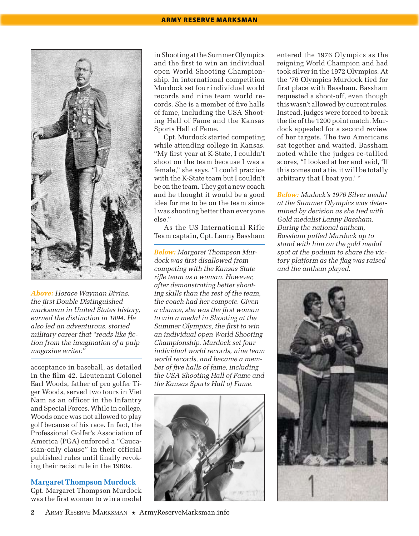

*Above: Horace Wayman Bivins, the first Double Distinguished marksman in United States history, earned the distinction in 1894. He also led an adventurous, storied military career that "reads like fiction from the imagination of a pulp magazine writer."*

acceptance in baseball, as detailed in the film 42. Lieutenant Colonel Earl Woods, father of pro golfer Tiger Woods, served two tours in Viet Nam as an officer in the Infantry and Special Forces. While in college, Woods once was not allowed to play golf because of his race. In fact, the Professional Golfer's Association of America (PGA) enforced a "Caucasian-only clause" in their official published rules until finally revoking their racist rule in the 1960s.

## **Margaret Thompson Murdock**

Cpt. Margaret Thompson Murdock was the first woman to win a medal

in Shooting at the Summer Olympics and the first to win an individual open World Shooting Championship. In international competition Murdock set four individual world records and nine team world records. She is a member of five halls of fame, including the USA Shooting Hall of Fame and the Kansas Sports Hall of Fame.

Cpt. Murdock started competing while attending college in Kansas. "My first year at K-State, I couldn't shoot on the team because I was a female," she says. "I could practice with the K-State team but I couldn't be on the team. They got a new coach and he thought it would be a good idea for me to be on the team since I was shooting better than everyone else."

As the US International Rifle Team captain, Cpt. Lanny Bassham

*Below: Margaret Thompson Murdock was first disallowed from competing with the Kansas State rifle team as a woman. However, after demonstrating better shooting skills than the rest of the team, the coach had her compete. Given a chance, she was the first woman to win a medal in Shooting at the Summer Olympics, the first to win an individual open World Shooting Championship. Murdock set four individual world records, nine team world records, and became a member of five halls of fame, including the USA Shooting Hall of Fame and the Kansas Sports Hall of Fame.*



entered the 1976 Olympics as the reigning World Champion and had took silver in the 1972 Olympics. At the '76 Olympics Murdock tied for first place with Bassham. Bassham requested a shoot-off, even though this wasn't allowed by current rules. Instead, judges were forced to break the tie of the 1200 point match. Murdock appealed for a second review of her targets. The two Americans sat together and waited. Bassham noted while the judges re-tallied scores, "I looked at her and said, 'If this comes out a tie, it will be totally arbitrary that I beat you.' "

*Below: Mudock's 1976 Silver medal at the Summer Olympics was determined by decision as she tied with Gold medalist Lanny Bassham. During the national anthem, Bassham pulled Murdock up to stand with him on the gold medal spot at the podium to share the victory platform as the flag was raised and the anthem played.*